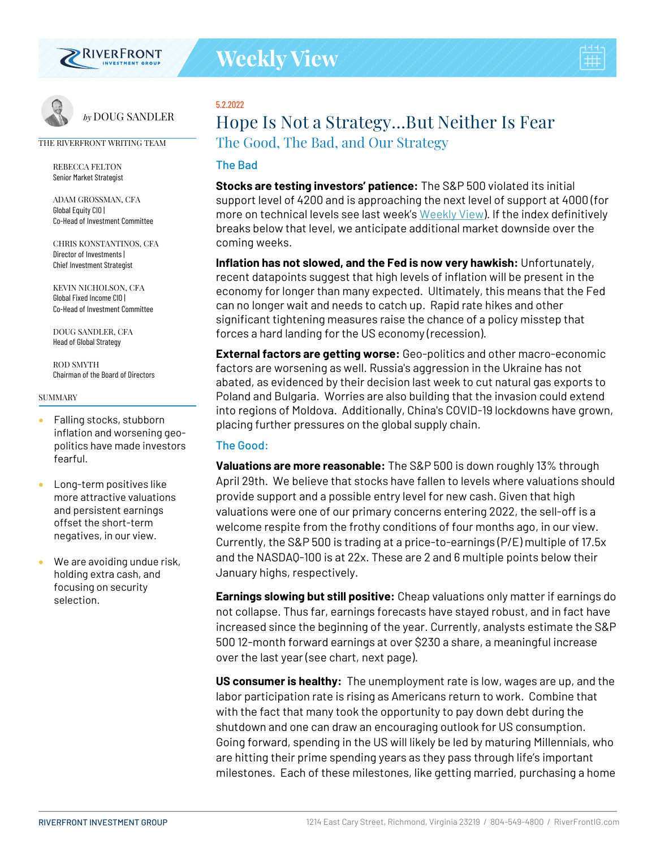

# 5.2.2022

# **Hope Is Not a Strategy…But Neither Is Fear** The Good, The Bad, and Our Strategy

## The Bad

**Stocks are testing investors' patience:** The S&P 500 violated its initial support level of 4200 and is approaching the next level of support at 4000 (for more on technical levels see last week's [Weekly View\)](https://www.riverfrontig.com/insights/dont-be-tempted-by-sell-in-may-and-go-away/). If the index definitively breaks below that level, we anticipate additional market downside over the coming weeks.

**Inflation has not slowed, and the Fed is now very hawkish:** Unfortunately, recent datapoints suggest that high levels of inflation will be present in the economy for longer than many expected. Ultimately, this means that the Fed can no longer wait and needs to catch up. Rapid rate hikes and other significant tightening measures raise the chance of a policy misstep that forces a hard landing for the US economy (recession).

**External factors are getting worse:** Geo-politics and other macro-economic factors are worsening as well. Russia's aggression in the Ukraine has not abated, as evidenced by their decision last week to cut natural gas exports to Poland and Bulgaria. Worries are also building that the invasion could extend into regions of Moldova. Additionally, China's COVID-19 lockdowns have grown, placing further pressures on the global supply chain.

### The Good:

**Valuations are more reasonable:** The S&P 500 is down roughly 13% through April 29th. We believe that stocks have fallen to levels where valuations should provide support and a possible entry level for new cash. Given that high valuations were one of our primary concerns entering 2022, the sell-off is a welcome respite from the frothy conditions of four months ago, in our view. Currently, the S&P 500 is trading at a price-to-earnings (P/E) multiple of 17.5x and the NASDAQ-100 is at 22x. These are 2 and 6 multiple points below their January highs, respectively.

**Earnings slowing but still positive:** Cheap valuations only matter if earnings do not collapse. Thus far, earnings forecasts have stayed robust, and in fact have increased since the beginning of the year. Currently, analysts estimate the S&P 500 12-month forward earnings at over \$230 a share, a meaningful increase over the last year (see chart, next page).

**US consumer is healthy:** The unemployment rate is low, wages are up, and the labor participation rate is rising as Americans return to work. Combine that with the fact that many took the opportunity to pay down debt during the shutdown and one can draw an encouraging outlook for US consumption. Going forward, spending in the US will likely be led by maturing Millennials, who are hitting their prime spending years as they pass through life's important milestones. Each of these milestones, like getting married, purchasing a home



*by* DOUG SANDLER

# THE RIVERFRONT WRITING TEAM

REBECCA FELTON Senior Market Strategist

ADAM GROSSMAN, CFA Global Equity CIO | Co-Head of Investment Committee

CHRIS KONSTANTINOS, CFA Director of Investments | Chief Investment Strategist

KEVIN NICHOLSON, CFA Global Fixed Income CIO | Co-Head of Investment Committee

DOUG SANDLER, CFA Head of Global Strategy

ROD SMYTH Chairman of the Board of Directors

### SUMMARY

- Falling stocks, stubborn inflation and worsening geopolitics have made investors fearful.
- Long-term positives like more attractive valuations and persistent earnings offset the short-term negatives, in our view.
- We are avoiding undue risk, holding extra cash, and focusing on security selection.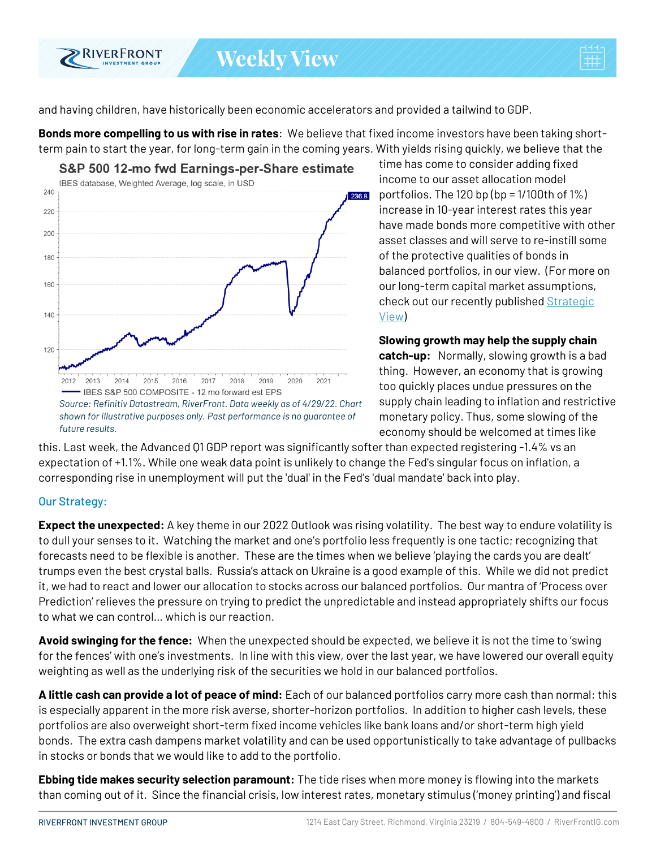



and having children, have historically been economic accelerators and provided a tailwind to GDP.

**Bonds more compelling to us with rise in rates**: We believe that fixed income investors have been taking shortterm pain to start the year, for long-term gain in the coming years. With yields rising quickly, we believe that the



time has come to consider adding fixed income to our asset allocation model portfolios. The 120 bp (bp =  $1/100$ th of  $1\%$ ) increase in 10-year interest rates this year have made bonds more competitive with other asset classes and will serve to re-instill some of the protective qualities of bonds in balanced portfolios, in our view. (For more on our long-term capital market assumptions, check out our recently publishe[d Strategic](https://www.riverfrontig.com/insights/riverfronts-long-term-forecasts-reflationary-recovery-or-inflationary-inferno)  [View\)](https://www.riverfrontig.com/insights/riverfronts-long-term-forecasts-reflationary-recovery-or-inflationary-inferno)

**Slowing growth may help the supply chain catch-up:** Normally, slowing growth is a bad thing. However, an economy that is growing too quickly places undue pressures on the supply chain leading to inflation and restrictive monetary policy. Thus, some slowing of the economy should be welcomed at times like

this. Last week, the Advanced Q1 GDP report was significantly softer than expected registering -1.4% vs an expectation of +1.1%. While one weak data point is unlikely to change the Fed's singular focus on inflation, a corresponding rise in unemployment will put the 'dual' in the Fed's 'dual mandate' back into play.

# Our Strategy:

**Expect the unexpected:** A key theme in our 2022 Outlook was rising volatility. The best way to endure volatility is to dull your senses to it. Watching the market and one's portfolio less frequently is one tactic; recognizing that forecasts need to be flexible is another. These are the times when we believe 'playing the cards you are dealt' trumps even the best crystal balls. Russia's attack on Ukraine is a good example of this. While we did not predict it, we had to react and lower our allocation to stocks across our balanced portfolios. Our mantra of 'Process over Prediction' relieves the pressure on trying to predict the unpredictable and instead appropriately shifts our focus to what we can control… which is our reaction.

**Avoid swinging for the fence:** When the unexpected should be expected, we believe it is not the time to 'swing for the fences' with one's investments. In line with this view, over the last year, we have lowered our overall equity weighting as well as the underlying risk of the securities we hold in our balanced portfolios.

**A little cash can provide a lot of peace of mind:** Each of our balanced portfolios carry more cash than normal; this is especially apparent in the more risk averse, shorter-horizon portfolios. In addition to higher cash levels, these portfolios are also overweight short-term fixed income vehicles like bank loans and/or short-term high yield bonds. The extra cash dampens market volatility and can be used opportunistically to take advantage of pullbacks in stocks or bonds that we would like to add to the portfolio.

**Ebbing tide makes security selection paramount:** The tide rises when more money is flowing into the markets than coming out of it. Since the financial crisis, low interest rates, monetary stimulus ('money printing') and fiscal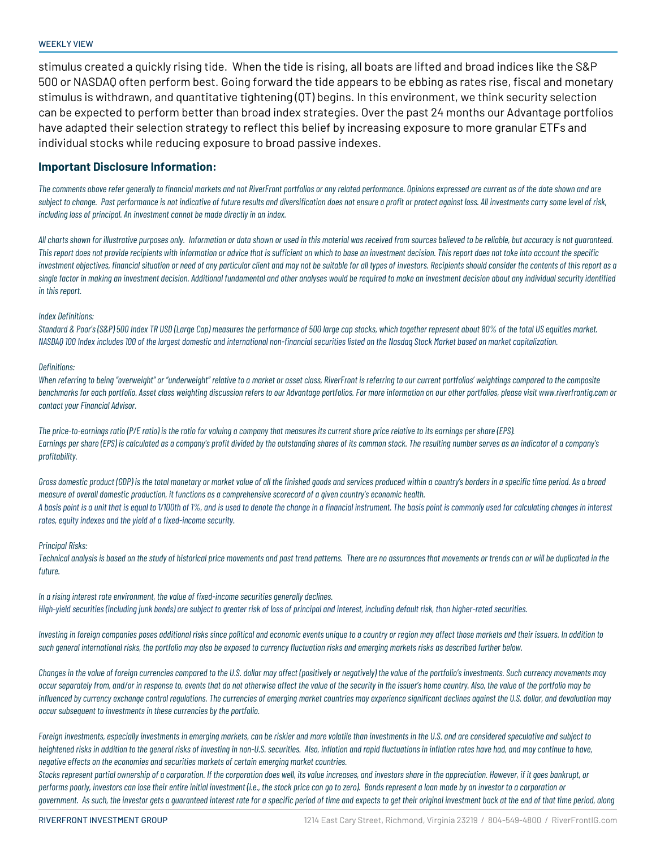stimulus created a quickly rising tide. When the tide is rising, all boats are lifted and broad indices like the S&P 500 or NASDAQ often perform best. Going forward the tide appears to be ebbing as rates rise, fiscal and monetary stimulus is withdrawn, and quantitative tightening (QT) begins. In this environment, we think security selection can be expected to perform better than broad index strategies. Over the past 24 months our Advantage portfolios have adapted their selection strategy to reflect this belief by increasing exposure to more granular ETFs and individual stocks while reducing exposure to broad passive indexes.

### **Important Disclosure Information:**

*The comments above refer generally to financial markets and not RiverFront portfolios or any related performance. Opinions expressed are current as of the date shown and are*  subject to change. Past performance is not indicative of future results and diversification does not ensure a profit or protect against loss. All investments carry some level of risk, *including loss of principal. An investment cannot be made directly in an index.*

*All charts shown for illustrative purposes only. Information or data shown or used in this material was received from sources believed to be reliable, but accuracy is not guaranteed. This report does not provide recipients with information or advice that is sufficient on which to base an investment decision. This report does not take into account the specific investment objectives, financial situation or need of any particular client and may not be suitable for all types of investors. Recipients should consider the contents of this report as a single factor in making an investment decision. Additional fundamental and other analyses would be required to make an investment decision about any individual security identified in this report.*

#### *Index Definitions:*

*Standard & Poor's (S&P) 500 Index TR USD (Large Cap) measures the performance of 500 large cap stocks, which together represent about 80% of the total US equities market. NASDAQ 100 Index includes 100 of the largest domestic and international non-financial securities listed on the Nasdaq Stock Market based on market capitalization.*

### *Definitions:*

*When referring to being "overweight" or "underweight" relative to a market or asset class, RiverFront is referring to our current portfolios' weightings compared to the composite benchmarks for each portfolio. Asset class weighting discussion refers to our Advantage portfolios. For more information on our other portfolios, please visit www.riverfrontig.com or contact your Financial Advisor.*

*The price-to-earnings ratio (P/E ratio) is the ratio for valuing a company that measures its current share price relative to its earnings per share (EPS).* Earnings per share (EPS) is calculated as a company's profit divided by the outstanding shares of its common stock. The resulting number serves as an indicator of a company's *profitability.*

*Gross domestic product (GDP) is the total monetary or market value of all the finished goods and services produced within a country's borders in a specific time period. As a broad measure of overall domestic production, it functions as a comprehensive scorecard of a given country's economic health. A basis point is a unit that is equal to 1/100th of 1%, and is used to denote the change in a financial instrument. The basis point is commonly used for calculating changes in interest rates, equity indexes and the yield of a fixed-income security.*

#### *Principal Risks:*

*Technical analysis is based on the study of historical price movements and past trend patterns. There are no assurances that movements or trends can or will be duplicated in the future.*

*In a rising interest rate environment, the value of fixed-income securities generally declines. High-yield securities (including junk bonds) are subject to greater risk of loss of principal and interest, including default risk, than higher-rated securities.*

*Investing in foreign companies poses additional risks since political and economic events unique to a country or region may affect those markets and their issuers. In addition to such general international risks, the portfolio may also be exposed to currency fluctuation risks and emerging markets risks as described further below.* 

*Changes in the value of foreign currencies compared to the U.S. dollar may affect (positively or negatively) the value of the portfolio's investments. Such currency movements may occur separately from, and/or in response to, events that do not otherwise affect the value of the security in the issuer's home country. Also, the value of the portfolio may be*  influenced by currency exchange control regulations. The currencies of emerging market countries may experience significant declines against the U.S. dollar, and devaluation may *occur subsequent to investments in these currencies by the portfolio.* 

*Foreign investments, especially investments in emerging markets, can be riskier and more volatile than investments in the U.S. and are considered speculative and subject to heightened risks in addition to the general risks of investing in non-U.S. securities. Also, inflation and rapid fluctuations in inflation rates have had, and may continue to have, negative effects on the economies and securities markets of certain emerging market countries.*

*Stocks represent partial ownership of a corporation. If the corporation does well, its value increases, and investors share in the appreciation. However, if it goes bankrupt, or performs poorly, investors can lose their entire initial investment (i.e., the stock price can go to zero). Bonds represent a loan made by an investor to a corporation or government. As such, the investor gets a guaranteed interest rate for a specific period of time and expects to get their original investment back at the end of that time period, along*